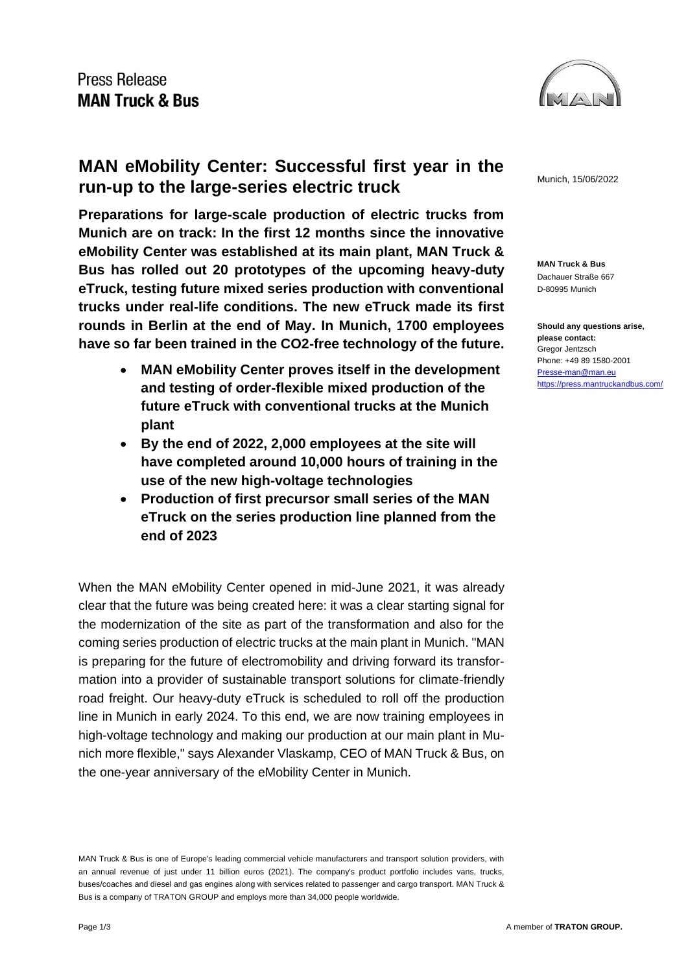

### **MAN eMobility Center: Successful first year in the run-up to the large-series electric truck**

**Preparations for large-scale production of electric trucks from Munich are on track: In the first 12 months since the innovative eMobility Center was established at its main plant, MAN Truck & Bus has rolled out 20 prototypes of the upcoming heavy-duty eTruck, testing future mixed series production with conventional trucks under real-life conditions. The new eTruck made its first rounds in Berlin at the end of May. In Munich, 1700 employees have so far been trained in the CO2-free technology of the future.**

- **MAN eMobility Center proves itself in the development and testing of order-flexible mixed production of the future eTruck with conventional trucks at the Munich plant**
- **By the end of 2022, 2,000 employees at the site will have completed around 10,000 hours of training in the use of the new high-voltage technologies**
- **Production of first precursor small series of the MAN eTruck on the series production line planned from the end of 2023**

When the MAN eMobility Center opened in mid-June 2021, it was already clear that the future was being created here: it was a clear starting signal for the modernization of the site as part of the transformation and also for the coming series production of electric trucks at the main plant in Munich. "MAN is preparing for the future of electromobility and driving forward its transformation into a provider of sustainable transport solutions for climate-friendly road freight. Our heavy-duty eTruck is scheduled to roll off the production line in Munich in early 2024. To this end, we are now training employees in high-voltage technology and making our production at our main plant in Munich more flexible," says Alexander Vlaskamp, CEO of MAN Truck & Bus, on the one-year anniversary of the eMobility Center in Munich.

MAN Truck & Bus is one of Europe's leading commercial vehicle manufacturers and transport solution providers, with an annual revenue of just under 11 billion euros (2021). The company's product portfolio includes vans, trucks, buses/coaches and diesel and gas engines along with services related to passenger and cargo transport. MAN Truck & Bus is a company of TRATON GROUP and employs more than 34,000 people worldwide.

Munich, 15/06/2022

**MAN Truck & Bus** Dachauer Straße 667 D-80995 Munich

**Should any questions arise, please contact:** Gregor Jentzsch Phone: +49 89 1580-2001 [Presse-man@man.eu](mailto:Presse-man@man.eu) <https://press.mantruckandbus.com/>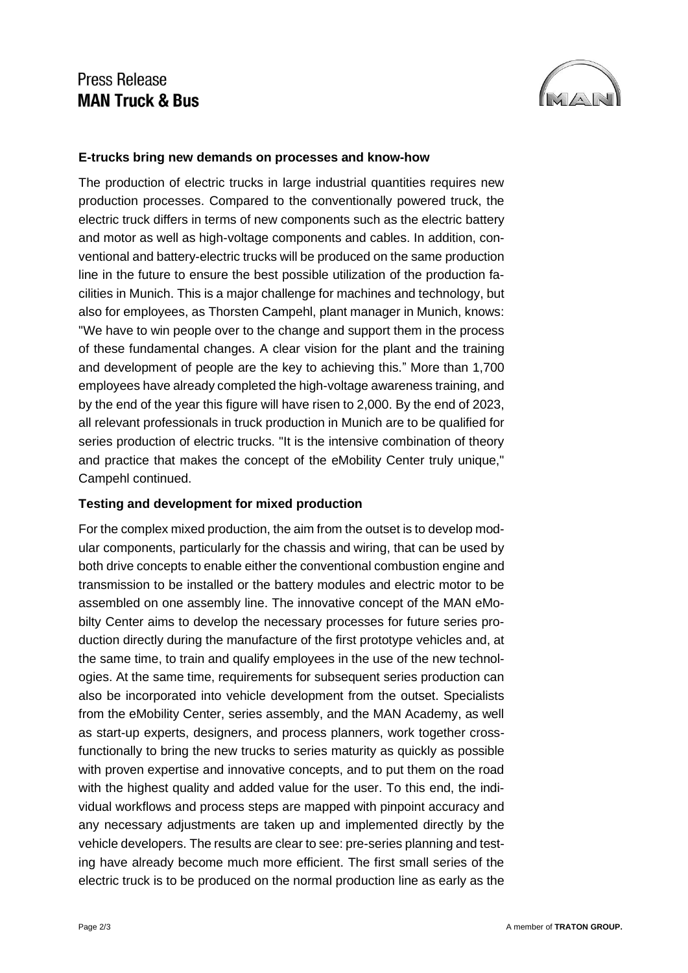## Press Release **MAN Truck & Bus**



### **E-trucks bring new demands on processes and know-how**

The production of electric trucks in large industrial quantities requires new production processes. Compared to the conventionally powered truck, the electric truck differs in terms of new components such as the electric battery and motor as well as high-voltage components and cables. In addition, conventional and battery-electric trucks will be produced on the same production line in the future to ensure the best possible utilization of the production facilities in Munich. This is a major challenge for machines and technology, but also for employees, as Thorsten Campehl, plant manager in Munich, knows: "We have to win people over to the change and support them in the process of these fundamental changes. A clear vision for the plant and the training and development of people are the key to achieving this." More than 1,700 employees have already completed the high-voltage awareness training, and by the end of the year this figure will have risen to 2,000. By the end of 2023, all relevant professionals in truck production in Munich are to be qualified for series production of electric trucks. "It is the intensive combination of theory and practice that makes the concept of the eMobility Center truly unique," Campehl continued.

#### **Testing and development for mixed production**

For the complex mixed production, the aim from the outset is to develop modular components, particularly for the chassis and wiring, that can be used by both drive concepts to enable either the conventional combustion engine and transmission to be installed or the battery modules and electric motor to be assembled on one assembly line. The innovative concept of the MAN eMobilty Center aims to develop the necessary processes for future series production directly during the manufacture of the first prototype vehicles and, at the same time, to train and qualify employees in the use of the new technologies. At the same time, requirements for subsequent series production can also be incorporated into vehicle development from the outset. Specialists from the eMobility Center, series assembly, and the MAN Academy, as well as start-up experts, designers, and process planners, work together crossfunctionally to bring the new trucks to series maturity as quickly as possible with proven expertise and innovative concepts, and to put them on the road with the highest quality and added value for the user. To this end, the individual workflows and process steps are mapped with pinpoint accuracy and any necessary adjustments are taken up and implemented directly by the vehicle developers. The results are clear to see: pre-series planning and testing have already become much more efficient. The first small series of the electric truck is to be produced on the normal production line as early as the